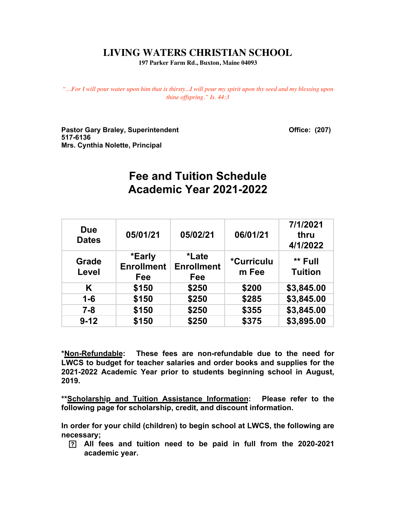## **LIVING WATERS CHRISTIAN SCHOOL**

**197 Parker Farm Rd., Buxton, Maine 04093**

*"…For I will pour water upon him that is thirsty...I will pour my spirit upon thy seed and my blessing upon thine offspring." Is. 44:3*

Pastor Gary Braley, Superintendent **Contact Contact Contact Contact Contact Contact Contact Contact Contact Contact Contact Contact Contact Contact Contact Contact Contact Contact Contact Contact Contact Contact Contact Co 517-6136 Mrs. Cynthia Nolette, Principal**

# **Fee and Tuition Schedule Academic Year 2021-2022**

| <b>Due</b><br><b>Dates</b> | 05/01/21                           | 05/02/21                                  | 06/01/21                   | 7/1/2021<br>thru<br>4/1/2022 |
|----------------------------|------------------------------------|-------------------------------------------|----------------------------|------------------------------|
| Grade<br>Level             | *Early<br><b>Enrollment</b><br>Fee | <i>*</i> Late<br><b>Enrollment</b><br>Fee | <i>*Curriculu</i><br>m Fee | ** Full<br><b>Tuition</b>    |
| Κ                          | \$150                              | \$250                                     | \$200                      | \$3,845.00                   |
| $1 - 6$                    | \$150                              | \$250                                     | \$285                      | \$3,845.00                   |
| $7 - 8$                    | \$150                              | \$250                                     | \$355                      | \$3,845.00                   |
| $9 - 12$                   | \$150                              | \$250                                     | \$375                      | \$3,895.00                   |

**\*Non-Refundable: These fees are non-refundable due to the need for LWCS to budget for teacher salaries and order books and supplies for the 2021-2022 Academic Year prior to students beginning school in August, 2019.**

**\*\*Scholarship and Tuition Assistance Information: Please refer to the following page for scholarship, credit, and discount information.**

**In order for your child (children) to begin school at LWCS, the following are necessary;**

 **All fees and tuition need to be paid in full from the 2020-2021 academic year.**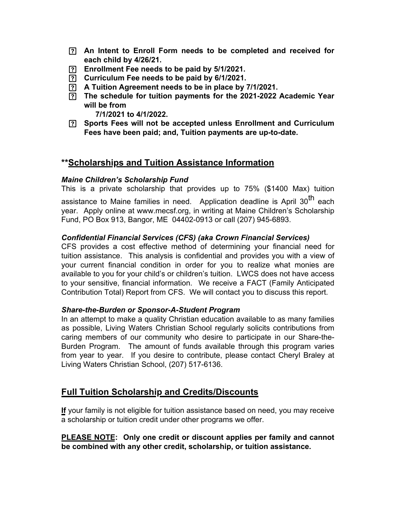- **An Intent to Enroll Form needs to be completed and received for each child by 4/26/21.**
- **Enrollment Fee needs to be paid by 5/1/2021.**
- **Curriculum Fee needs to be paid by 6/1/2021.**
- **A Tuition Agreement needs to be in place by 7/1/2021.**
- **The schedule for tuition payments for the 2021-2022 Academic Year will be from**

**7/1/2021 to 4/1/2022.**

 **Sports Fees will not be accepted unless Enrollment and Curriculum Fees have been paid; and, Tuition payments are up-to-date.**

## **\*\*Scholarships and Tuition Assistance Information**

#### *Maine Children's Scholarship Fund*

This is a private scholarship that provides up to 75% (\$1400 Max) tuition

assistance to Maine families in need. Application deadline is April 30<sup>th</sup> each year. Apply online at [www.mecsf.org,](http://www.mecsf.org/) in writing at Maine Children's Scholarship Fund, PO Box 913, Bangor, ME 04402-0913 or call (207) 945-6893.

#### *Confidential Financial Services (CFS) (aka Crown Financial Services)*

CFS provides a cost effective method of determining your financial need for tuition assistance. This analysis is confidential and provides you with a view of your current financial condition in order for you to realize what monies are available to you for your child's or children's tuition. LWCS does not have access to your sensitive, financial information. We receive a FACT (Family Anticipated Contribution Total) Report from CFS. We will contact you to discuss this report.

#### *Share-the-Burden or Sponsor-A-Student Program*

In an attempt to make a quality Christian education available to as many families as possible, Living Waters Christian School regularly solicits contributions from caring members of our community who desire to participate in our Share-the-Burden Program. The amount of funds available through this program varies from year to year. If you desire to contribute, please contact Cheryl Braley at Living Waters Christian School, (207) 517-6136.

## **Full Tuition Scholarship and Credits/Discounts**

**If** your family is not eligible for tuition assistance based on need, you may receive a scholarship or tuition credit under other programs we offer.

**PLEASE NOTE: Only one credit or discount applies per family and cannot be combined with any other credit, scholarship, or tuition assistance.**